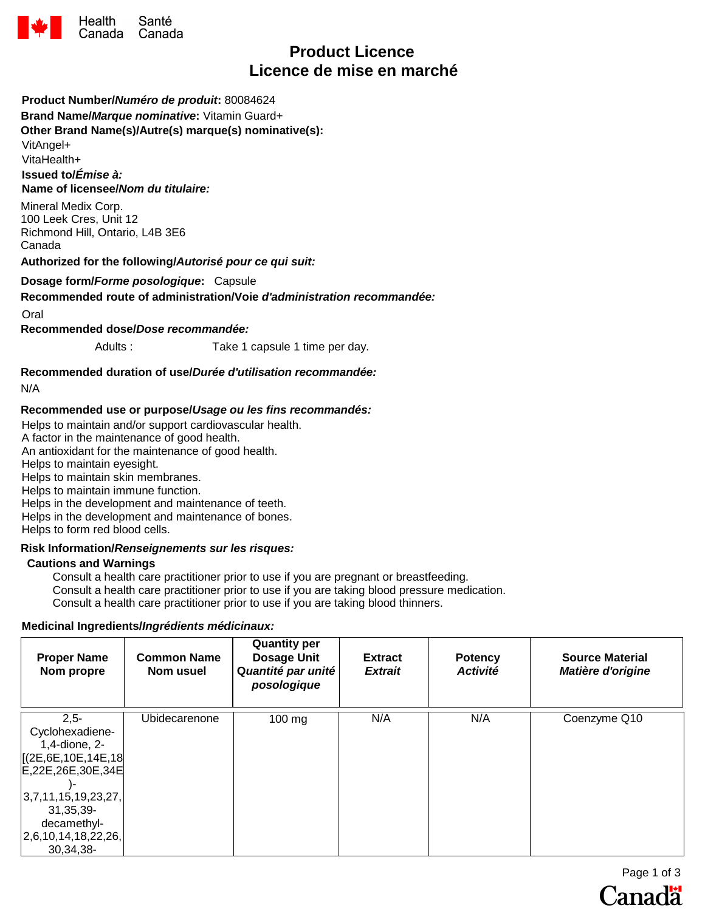

# **Product Licence Licence de mise en marché**

### **Product Number/***Numéro de produit***:** 80084624

**Brand Name/***Marque nominative***:** Vitamin Guard+

**Other Brand Name(s)/Autre(s) marque(s) nominative(s):**

VitAngel+

VitaHealth+

**Issued to/***Émise à:*  **Name of licensee/***Nom du titulaire:*

Mineral Medix Corp. 100 Leek Cres, Unit 12 Richmond Hill, Ontario, L4B 3E6 Canada

**Authorized for the following/***Autorisé pour ce qui suit:* 

#### **Dosage form/***Forme posologique***:** Capsule

#### **Recommended route of administration/Voie** *d'administration recommandée:*

Oral

**Recommended dose/***Dose recommandée:*

Adults : Take 1 capsule 1 time per day.

**Recommended duration of use/***Durée d'utilisation recommandée:* 

N/A

#### **Recommended use or purpose/***Usage ou les fins recommandés:*

Helps to maintain and/or support cardiovascular health.

A factor in the maintenance of good health.

An antioxidant for the maintenance of good health.

Helps to maintain eyesight.

Helps to maintain skin membranes.

Helps to maintain immune function.

Helps in the development and maintenance of teeth.

Helps in the development and maintenance of bones.

Helps to form red blood cells.

## **Risk Information/***Renseignements sur les risques:*

#### **Cautions and Warnings**

Consult a health care practitioner prior to use if you are pregnant or breastfeeding. Consult a health care practitioner prior to use if you are taking blood pressure medication. Consult a health care practitioner prior to use if you are taking blood thinners.

#### **Medicinal Ingredients/***Ingrédients médicinaux:*

| <b>Proper Name</b><br>Nom propre                                                            | <b>Common Name</b><br>Nom usuel | <b>Quantity per</b><br><b>Dosage Unit</b><br>Quantité par unité<br>posologique | <b>Extract</b><br><b>Extrait</b> | <b>Potency</b><br><b>Activité</b> | <b>Source Material</b><br><b>Matière d'origine</b> |
|---------------------------------------------------------------------------------------------|---------------------------------|--------------------------------------------------------------------------------|----------------------------------|-----------------------------------|----------------------------------------------------|
| $2.5 -$<br>Cyclohexadiene-<br>1,4-dione, 2-<br>[(2E, 6E, 10E, 14E, 18]<br>E,22E,26E,30E,34E | Ubidecarenone                   | $100 \text{ mg}$                                                               | N/A                              | N/A                               | Coenzyme Q10                                       |
| 3,7,11,15,19,23,27,<br>31, 35, 39-<br>decamethyl-<br>2,6,10,14,18,22,26,<br>30,34,38-       |                                 |                                                                                |                                  |                                   |                                                    |

Page 1 of 3 Canadä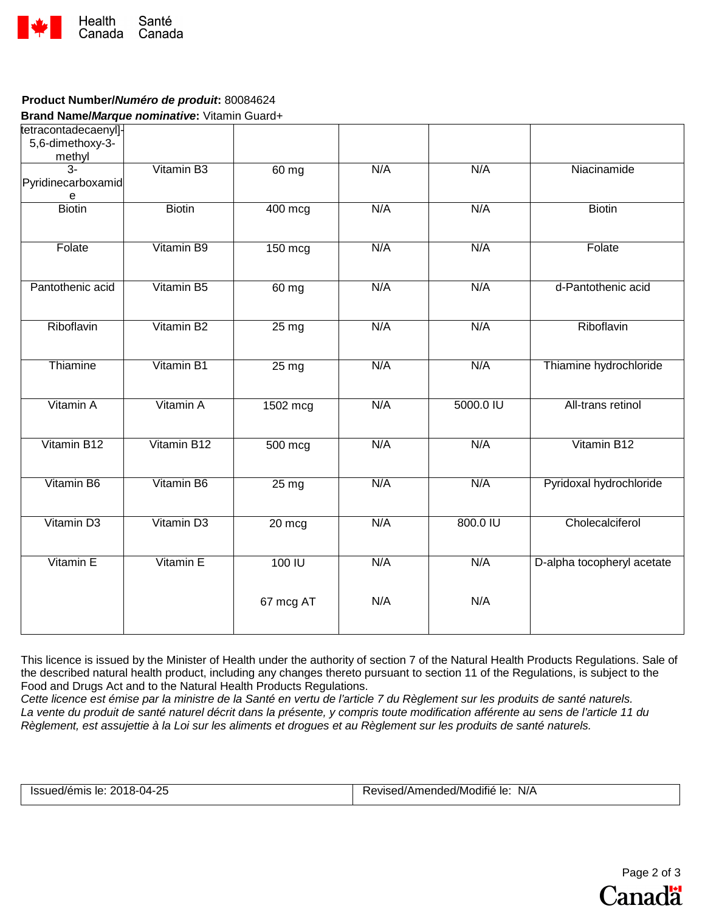

# **Product Number/***Numéro de produit***:** 80084624

**Brand Name/***Marque nominative***:** Vitamin Guard+

| tetracontadecaenyl]-<br>5,6-dimethoxy-3-<br>methyl |                        |                    |     |           |                            |
|----------------------------------------------------|------------------------|--------------------|-----|-----------|----------------------------|
| $\overline{3}$ -<br>Pyridinecarboxamid<br>е        | Vitamin B3             | 60 mg              | N/A | N/A       | Niacinamide                |
| <b>Biotin</b>                                      | <b>Biotin</b>          | 400 mcg            | N/A | N/A       | <b>Biotin</b>              |
| Folate                                             | Vitamin B9             | $150$ mcg          | N/A | N/A       | Folate                     |
| Pantothenic acid                                   | Vitamin B5             | $60$ mg            | N/A | N/A       | d-Pantothenic acid         |
| Riboflavin                                         | Vitamin B2             | $25 \,\mathrm{mg}$ | N/A | N/A       | Riboflavin                 |
| Thiamine                                           | Vitamin B1             | $25 \text{ mg}$    | N/A | N/A       | Thiamine hydrochloride     |
| Vitamin A                                          | Vitamin A              | 1502 mcg           | N/A | 5000.0 IU | All-trans retinol          |
| Vitamin B12                                        | Vitamin B12            | 500 mcg            | N/A | N/A       | Vitamin B12                |
| Vitamin B6                                         | Vitamin B6             | $25 \text{ mg}$    | N/A | N/A       | Pyridoxal hydrochloride    |
| Vitamin D <sub>3</sub>                             | Vitamin D <sub>3</sub> | 20 mcg             | N/A | 800.0 IU  | Cholecalciferol            |
| Vitamin E                                          | Vitamin E              | 100 IU             | N/A | N/A       | D-alpha tocopheryl acetate |
|                                                    |                        | 67 mcg AT          | N/A | N/A       |                            |

This licence is issued by the Minister of Health under the authority of section 7 of the Natural Health Products Regulations. Sale of the described natural health product, including any changes thereto pursuant to section 11 of the Regulations, is subject to the Food and Drugs Act and to the Natural Health Products Regulations.

*Cette licence est émise par la ministre de la Santé en vertu de l'article 7 du Règlement sur les produits de santé naturels. La vente du produit de santé naturel décrit dans la présente, y compris toute modification afférente au sens de l'article 11 du Règlement, est assujettie à la Loi sur les aliments et drogues et au Règlement sur les produits de santé naturels.*

| Issued/émis le: 2018-04-25 | <br>N/A<br>Revised/Amended/Modifié le: |
|----------------------------|----------------------------------------|
|                            |                                        |